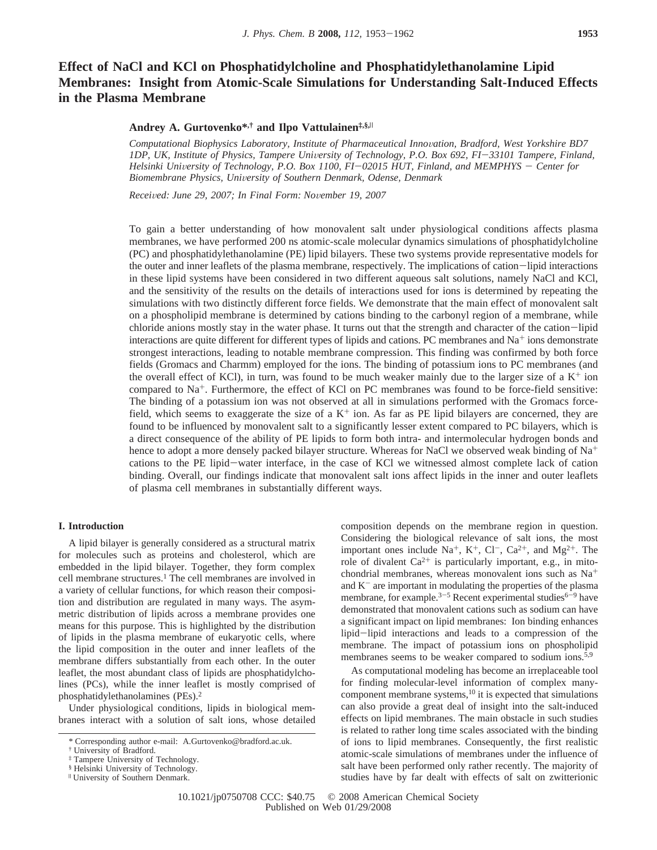# **Effect of NaCl and KCl on Phosphatidylcholine and Phosphatidylethanolamine Lipid Membranes: Insight from Atomic-Scale Simulations for Understanding Salt-Induced Effects in the Plasma Membrane**

# **Andrey A. Gurtovenko\*,† and Ilpo Vattulainen‡,§,**<sup>|</sup>

*Computational Biophysics Laboratory, Institute of Pharmaceutical Innovation, Bradford, West Yorkshire BD7 1DP, UK, Institute of Physics, Tampere Uni*V*ersity of Technology, P.O. Box 692, FI*-*33101 Tampere, Finland, Helsinki Uni*V*ersity of Technology, P.O. Box 1100, FI*-*02015 HUT, Finland, and MEMPHYS* - *Center for Biomembrane Physics, Uni*V*ersity of Southern Denmark, Odense, Denmark*

*Recei*V*ed: June 29, 2007; In Final Form: No*V*ember 19, 2007*

To gain a better understanding of how monovalent salt under physiological conditions affects plasma membranes, we have performed 200 ns atomic-scale molecular dynamics simulations of phosphatidylcholine (PC) and phosphatidylethanolamine (PE) lipid bilayers. These two systems provide representative models for the outer and inner leaflets of the plasma membrane, respectively. The implications of cation-lipid interactions in these lipid systems have been considered in two different aqueous salt solutions, namely NaCl and KCl, and the sensitivity of the results on the details of interactions used for ions is determined by repeating the simulations with two distinctly different force fields. We demonstrate that the main effect of monovalent salt on a phospholipid membrane is determined by cations binding to the carbonyl region of a membrane, while chloride anions mostly stay in the water phase. It turns out that the strength and character of the cation-lipid interactions are quite different for different types of lipids and cations. PC membranes and  $Na<sup>+</sup>$  ions demonstrate strongest interactions, leading to notable membrane compression. This finding was confirmed by both force fields (Gromacs and Charmm) employed for the ions. The binding of potassium ions to PC membranes (and the overall effect of KCl), in turn, was found to be much weaker mainly due to the larger size of a  $K^+$  ion compared to Na+. Furthermore, the effect of KCl on PC membranes was found to be force-field sensitive: The binding of a potassium ion was not observed at all in simulations performed with the Gromacs forcefield, which seems to exaggerate the size of a  $K^+$  ion. As far as PE lipid bilayers are concerned, they are found to be influenced by monovalent salt to a significantly lesser extent compared to PC bilayers, which is a direct consequence of the ability of PE lipids to form both intra- and intermolecular hydrogen bonds and hence to adopt a more densely packed bilayer structure. Whereas for NaCl we observed weak binding of Na<sup>+</sup> cations to the PE lipid-water interface, in the case of KCl we witnessed almost complete lack of cation binding. Overall, our findings indicate that monovalent salt ions affect lipids in the inner and outer leaflets of plasma cell membranes in substantially different ways.

## **I. Introduction**

A lipid bilayer is generally considered as a structural matrix for molecules such as proteins and cholesterol, which are embedded in the lipid bilayer. Together, they form complex cell membrane structures.<sup>1</sup> The cell membranes are involved in a variety of cellular functions, for which reason their composition and distribution are regulated in many ways. The asymmetric distribution of lipids across a membrane provides one means for this purpose. This is highlighted by the distribution of lipids in the plasma membrane of eukaryotic cells, where the lipid composition in the outer and inner leaflets of the membrane differs substantially from each other. In the outer leaflet, the most abundant class of lipids are phosphatidylcholines (PCs), while the inner leaflet is mostly comprised of phosphatidylethanolamines (PEs).2

Under physiological conditions, lipids in biological membranes interact with a solution of salt ions, whose detailed composition depends on the membrane region in question. Considering the biological relevance of salt ions, the most important ones include Na<sup>+</sup>, K<sup>+</sup>, Cl<sup>-</sup>, Ca<sup>2+</sup>, and Mg<sup>2+</sup>. The role of divalent  $Ca^{2+}$  is particularly important, e.g., in mitochondrial membranes, whereas monovalent ions such as Na+ and  $K^-$  are important in modulating the properties of the plasma membrane, for example.<sup>3-5</sup> Recent experimental studies<sup>6-9</sup> have demonstrated that monovalent cations such as sodium can have a significant impact on lipid membranes: Ion binding enhances lipid-lipid interactions and leads to a compression of the membrane. The impact of potassium ions on phospholipid membranes seems to be weaker compared to sodium ions.<sup>5,9</sup>

As computational modeling has become an irreplaceable tool for finding molecular-level information of complex manycomponent membrane systems, $10$  it is expected that simulations can also provide a great deal of insight into the salt-induced effects on lipid membranes. The main obstacle in such studies is related to rather long time scales associated with the binding of ions to lipid membranes. Consequently, the first realistic atomic-scale simulations of membranes under the influence of salt have been performed only rather recently. The majority of studies have by far dealt with effects of salt on zwitterionic

<sup>\*</sup> Corresponding author e-mail: A.Gurtovenko@bradford.ac.uk.

<sup>†</sup> University of Bradford.

<sup>‡</sup> Tampere University of Technology.

<sup>§</sup> Helsinki University of Technology.

<sup>|</sup> University of Southern Denmark.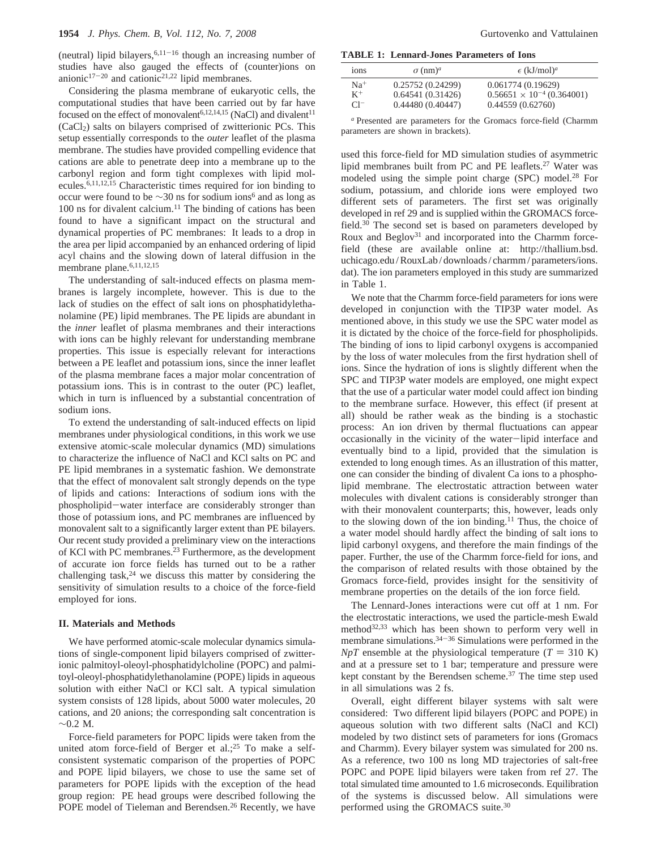(neutral) lipid bilayers,  $6,11-16$  though an increasing number of studies have also gauged the effects of (counter)ions on anionic<sup>17-20</sup> and cationic<sup>21,22</sup> lipid membranes.

Considering the plasma membrane of eukaryotic cells, the computational studies that have been carried out by far have focused on the effect of monovalent<sup>6,12,14,15</sup> (NaCl) and divalent<sup>11</sup>  $(CaCl<sub>2</sub>)$  salts on bilayers comprised of zwitterionic PCs. This setup essentially corresponds to the *outer* leaflet of the plasma membrane. The studies have provided compelling evidence that cations are able to penetrate deep into a membrane up to the carbonyl region and form tight complexes with lipid molecules.6,11,12,15 Characteristic times required for ion binding to occur were found to be ∼30 ns for sodium ions6 and as long as  $100$  ns for divalent calcium.<sup>11</sup> The binding of cations has been found to have a significant impact on the structural and dynamical properties of PC membranes: It leads to a drop in the area per lipid accompanied by an enhanced ordering of lipid acyl chains and the slowing down of lateral diffusion in the membrane plane.<sup>6,11,12,15</sup>

The understanding of salt-induced effects on plasma membranes is largely incomplete, however. This is due to the lack of studies on the effect of salt ions on phosphatidylethanolamine (PE) lipid membranes. The PE lipids are abundant in the *inner* leaflet of plasma membranes and their interactions with ions can be highly relevant for understanding membrane properties. This issue is especially relevant for interactions between a PE leaflet and potassium ions, since the inner leaflet of the plasma membrane faces a major molar concentration of potassium ions. This is in contrast to the outer (PC) leaflet, which in turn is influenced by a substantial concentration of sodium ions.

To extend the understanding of salt-induced effects on lipid membranes under physiological conditions, in this work we use extensive atomic-scale molecular dynamics (MD) simulations to characterize the influence of NaCl and KCl salts on PC and PE lipid membranes in a systematic fashion. We demonstrate that the effect of monovalent salt strongly depends on the type of lipids and cations: Interactions of sodium ions with the phospholipid-water interface are considerably stronger than those of potassium ions, and PC membranes are influenced by monovalent salt to a significantly larger extent than PE bilayers. Our recent study provided a preliminary view on the interactions of KCl with PC membranes.<sup>23</sup> Furthermore, as the development of accurate ion force fields has turned out to be a rather challenging task, $24$  we discuss this matter by considering the sensitivity of simulation results to a choice of the force-field employed for ions.

#### **II. Materials and Methods**

We have performed atomic-scale molecular dynamics simulations of single-component lipid bilayers comprised of zwitterionic palmitoyl-oleoyl-phosphatidylcholine (POPC) and palmitoyl-oleoyl-phosphatidylethanolamine (POPE) lipids in aqueous solution with either NaCl or KCl salt. A typical simulation system consists of 128 lipids, about 5000 water molecules, 20 cations, and 20 anions; the corresponding salt concentration is ∼0.2 M.

Force-field parameters for POPC lipids were taken from the united atom force-field of Berger et al.;<sup>25</sup> To make a selfconsistent systematic comparison of the properties of POPC and POPE lipid bilayers, we chose to use the same set of parameters for POPE lipids with the exception of the head group region: PE head groups were described following the POPE model of Tieleman and Berendsen.<sup>26</sup> Recently, we have

**TABLE 1: Lennard-Jones Parameters of Ions**

| 10 <sub>ns</sub> | $\sigma$ (nm) <sup>a</sup> | $\epsilon$ (kJ/mol) <sup>a</sup>    |  |  |
|------------------|----------------------------|-------------------------------------|--|--|
| $Na+$            | 0.25752(0.24299)           | 0.061774(0.19629)                   |  |  |
| K+               | 0.64541(0.31426)           | $0.56651 \times 10^{-4} (0.364001)$ |  |  |
| $Cl^{-}$         | 0.44480(0.40447)           | 0.44559(0.62760)                    |  |  |

*<sup>a</sup>* Presented are parameters for the Gromacs force-field (Charmm parameters are shown in brackets).

used this force-field for MD simulation studies of asymmetric lipid membranes built from PC and PE leaflets.27 Water was modeled using the simple point charge (SPC) model.<sup>28</sup> For sodium, potassium, and chloride ions were employed two different sets of parameters. The first set was originally developed in ref 29 and is supplied within the GROMACS forcefield. $30$  The second set is based on parameters developed by Roux and Beglov<sup>31</sup> and incorporated into the Charmm forcefield (these are available online at: http://thallium.bsd. uchicago.edu / RouxLab / downloads / charmm / parameters/ions. dat). The ion parameters employed in this study are summarized in Table 1.

We note that the Charmm force-field parameters for ions were developed in conjunction with the TIP3P water model. As mentioned above, in this study we use the SPC water model as it is dictated by the choice of the force-field for phospholipids. The binding of ions to lipid carbonyl oxygens is accompanied by the loss of water molecules from the first hydration shell of ions. Since the hydration of ions is slightly different when the SPC and TIP3P water models are employed, one might expect that the use of a particular water model could affect ion binding to the membrane surface. However, this effect (if present at all) should be rather weak as the binding is a stochastic process: An ion driven by thermal fluctuations can appear occasionally in the vicinity of the water-lipid interface and eventually bind to a lipid, provided that the simulation is extended to long enough times. As an illustration of this matter, one can consider the binding of divalent Ca ions to a phospholipid membrane. The electrostatic attraction between water molecules with divalent cations is considerably stronger than with their monovalent counterparts; this, however, leads only to the slowing down of the ion binding.11 Thus, the choice of a water model should hardly affect the binding of salt ions to lipid carbonyl oxygens, and therefore the main findings of the paper. Further, the use of the Charmm force-field for ions, and the comparison of related results with those obtained by the Gromacs force-field, provides insight for the sensitivity of membrane properties on the details of the ion force field.

The Lennard-Jones interactions were cut off at 1 nm. For the electrostatic interactions, we used the particle-mesh Ewald method<sup>32,33</sup> which has been shown to perform very well in membrane simulations.34-<sup>36</sup> Simulations were performed in the *NpT* ensemble at the physiological temperature ( $T = 310$  K) and at a pressure set to 1 bar; temperature and pressure were kept constant by the Berendsen scheme.37 The time step used in all simulations was 2 fs.

Overall, eight different bilayer systems with salt were considered: Two different lipid bilayers (POPC and POPE) in aqueous solution with two different salts (NaCl and KCl) modeled by two distinct sets of parameters for ions (Gromacs and Charmm). Every bilayer system was simulated for 200 ns. As a reference, two 100 ns long MD trajectories of salt-free POPC and POPE lipid bilayers were taken from ref 27. The total simulated time amounted to 1.6 microseconds. Equilibration of the systems is discussed below. All simulations were performed using the GROMACS suite.30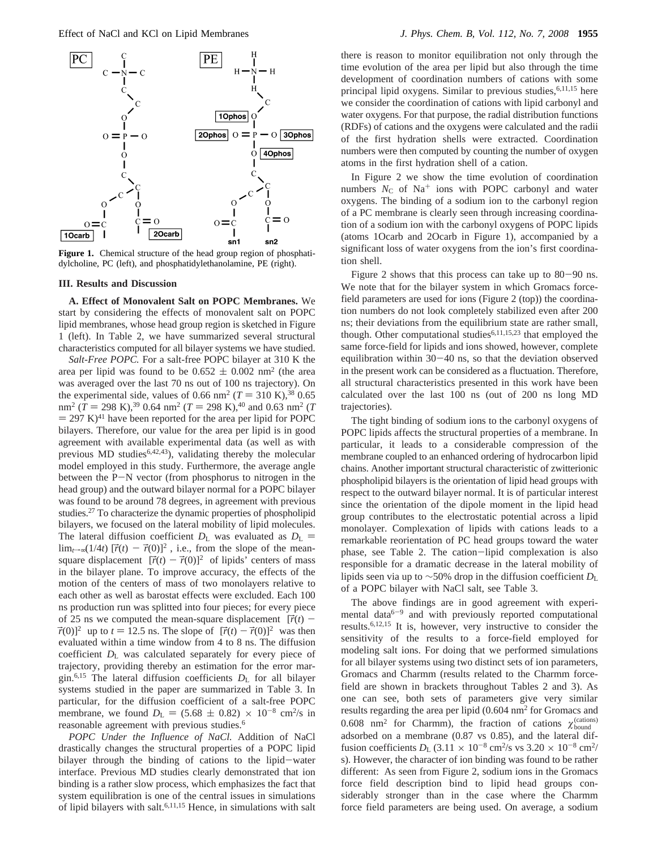

**Figure 1.** Chemical structure of the head group region of phosphatidylcholine, PC (left), and phosphatidylethanolamine, PE (right).

## **III. Results and Discussion**

**A. Effect of Monovalent Salt on POPC Membranes.** We start by considering the effects of monovalent salt on POPC lipid membranes, whose head group region is sketched in Figure 1 (left). In Table 2, we have summarized several structural characteristics computed for all bilayer systems we have studied.

*Salt-Free POPC.* For a salt-free POPC bilayer at 310 K the area per lipid was found to be  $0.652 \pm 0.002$  nm<sup>2</sup> (the area was averaged over the last 70 ns out of 100 ns trajectory). On the experimental side, values of 0.66 nm<sup>2</sup> ( $T = 310 \text{ K}$ ),<sup>38</sup> 0.65 nm<sup>2</sup> ( $\hat{T}$  = 298 K),<sup>39</sup> 0.64 nm<sup>2</sup> ( $T$  = 298 K),<sup>40</sup> and 0.63 nm<sup>2</sup> ( $T$  $=$  297 K)<sup>41</sup> have been reported for the area per lipid for POPC bilayers. Therefore, our value for the area per lipid is in good agreement with available experimental data (as well as with previous MD studies $6,42,43$ ), validating thereby the molecular model employed in this study. Furthermore, the average angle between the P-N vector (from phosphorus to nitrogen in the head group) and the outward bilayer normal for a POPC bilayer was found to be around 78 degrees, in agreement with previous studies.27 To characterize the dynamic properties of phospholipid bilayers, we focused on the lateral mobility of lipid molecules. The lateral diffusion coefficient  $D_{\rm L}$  was evaluated as  $D_{\rm L}$  =  $\lim_{t\to\infty}(1/4t)\langle[\vec{r}(t) - \vec{r}(0)]^2\rangle$ , i.e., from the slope of the meansquare displacement  $\langle [\vec{r}(t) - \vec{r}(0)]^2 \rangle$  of lipids' centers of mass in the bilayer plane. To improve accuracy, the effects of the motion of the centers of mass of two monolayers relative to each other as well as barostat effects were excluded. Each 100 ns production run was splitted into four pieces; for every piece of 25 ns we computed the mean-square displacement  $\langle \vec{r}(t) \vec{r}(0)$ ]<sup>2</sup> $\rangle$  up to  $t = 12.5$  ns. The slope of  $\langle \vec{r}(t) - \vec{r}(0) \rangle$ <sup>2</sup> $\rangle$  was then evaluated within a time window from 4 to 8 ns. The diffusion coefficient *D*<sup>L</sup> was calculated separately for every piece of trajectory, providing thereby an estimation for the error margin.6,15 The lateral diffusion coefficients *D*<sup>L</sup> for all bilayer systems studied in the paper are summarized in Table 3. In particular, for the diffusion coefficient of a salt-free POPC membrane, we found  $D_L = (5.68 \pm 0.82) \times 10^{-8} \text{ cm}^2/\text{s}$  in reasonable agreement with previous studies.6

*POPC Under the Influence of NaCl.* Addition of NaCl drastically changes the structural properties of a POPC lipid bilayer through the binding of cations to the lipid-water interface. Previous MD studies clearly demonstrated that ion binding is a rather slow process, which emphasizes the fact that system equilibration is one of the central issues in simulations of lipid bilayers with salt.6,11,15 Hence, in simulations with salt

there is reason to monitor equilibration not only through the time evolution of the area per lipid but also through the time development of coordination numbers of cations with some principal lipid oxygens. Similar to previous studies,  $6,11,15$  here we consider the coordination of cations with lipid carbonyl and water oxygens. For that purpose, the radial distribution functions (RDFs) of cations and the oxygens were calculated and the radii of the first hydration shells were extracted. Coordination numbers were then computed by counting the number of oxygen atoms in the first hydration shell of a cation.

In Figure 2 we show the time evolution of coordination numbers  $N_c$  of Na<sup>+</sup> ions with POPC carbonyl and water oxygens. The binding of a sodium ion to the carbonyl region of a PC membrane is clearly seen through increasing coordination of a sodium ion with the carbonyl oxygens of POPC lipids (atoms 1Ocarb and 2Ocarb in Figure 1), accompanied by a significant loss of water oxygens from the ion's first coordination shell.

Figure 2 shows that this process can take up to 80-90 ns. We note that for the bilayer system in which Gromacs forcefield parameters are used for ions (Figure 2 (top)) the coordination numbers do not look completely stabilized even after 200 ns; their deviations from the equilibrium state are rather small, though. Other computational studies<sup>6,11,15,23</sup> that employed the same force-field for lipids and ions showed, however, complete equilibration within 30-40 ns, so that the deviation observed in the present work can be considered as a fluctuation. Therefore, all structural characteristics presented in this work have been calculated over the last 100 ns (out of 200 ns long MD trajectories).

The tight binding of sodium ions to the carbonyl oxygens of POPC lipids affects the structural properties of a membrane. In particular, it leads to a considerable compression of the membrane coupled to an enhanced ordering of hydrocarbon lipid chains. Another important structural characteristic of zwitterionic phospholipid bilayers is the orientation of lipid head groups with respect to the outward bilayer normal. It is of particular interest since the orientation of the dipole moment in the lipid head group contributes to the electrostatic potential across a lipid monolayer. Complexation of lipids with cations leads to a remarkable reorientation of PC head groups toward the water phase, see Table 2. The cation-lipid complexation is also responsible for a dramatic decrease in the lateral mobility of lipids seen via up to ∼50% drop in the diffusion coefficient *D*<sup>L</sup> of a POPC bilayer with NaCl salt, see Table 3.

The above findings are in good agreement with experimental data $6^{-9}$  and with previously reported computational results.6,12,15 It is, however, very instructive to consider the sensitivity of the results to a force-field employed for modeling salt ions. For doing that we performed simulations for all bilayer systems using two distinct sets of ion parameters, Gromacs and Charmm (results related to the Charmm forcefield are shown in brackets throughout Tables 2 and 3). As one can see, both sets of parameters give very similar results regarding the area per lipid (0.604 nm2 for Gromacs and 0.608 nm<sup>2</sup> for Charmm), the fraction of cations  $\chi_{\text{bound}}^{\text{(cations)}}$ adsorbed on a membrane (0.87 vs 0.85), and the lateral diffusion coefficients  $D_{\rm L}$  (3.11  $\times$  10<sup>-8</sup> cm<sup>2</sup>/s vs 3.20  $\times$  10<sup>-8</sup> cm<sup>2</sup>/ s). However, the character of ion binding was found to be rather different: As seen from Figure 2, sodium ions in the Gromacs force field description bind to lipid head groups considerably stronger than in the case where the Charmm force field parameters are being used. On average, a sodium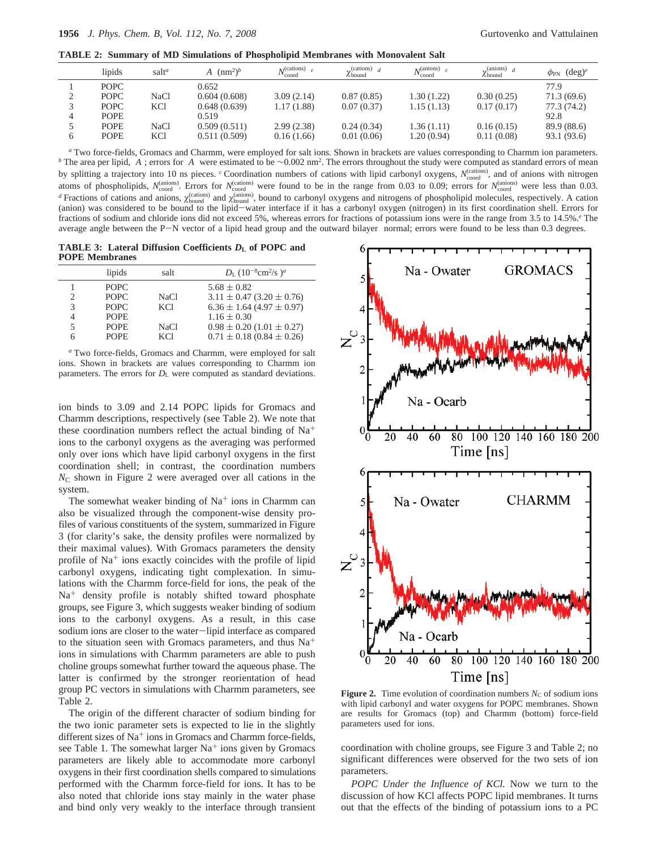**TABLE 2: Summary of MD Simulations of Phospholipid Membranes with Monovalent Salt**

|   | lipids      | salt <sup>a</sup> | $\langle A \rangle$ (nm <sup>2</sup> ) <sup>b</sup> | $\langle N_{\rm coord}^{\rm (cations)} \rangle$ c | $\langle \chi_{\text{bound}}^{(\text{cations})} \rangle d$ | $\langle N_{\rm coord}^{\rm (anions)} \rangle$ c | $\langle \chi_{\text{bound}}^{(\text{anions})} \rangle$ <sup>d</sup> | $\langle \phi_{\rm PN} \rangle$ (deg) <sup>e</sup> |
|---|-------------|-------------------|-----------------------------------------------------|---------------------------------------------------|------------------------------------------------------------|--------------------------------------------------|----------------------------------------------------------------------|----------------------------------------------------|
|   | POPC        |                   | 0.652                                               |                                                   |                                                            |                                                  |                                                                      | 77.9                                               |
| ∠ | POPC        | NaCl              | 0.604(0.608)                                        | 3.09(2.14)                                        | 0.87(0.85)                                                 | 1.30(1.22)                                       | 0.30(0.25)                                                           | 71.3(69.6)                                         |
|   | <b>POPC</b> | KCl               | 0.648(0.639)                                        | 1.17(1.88)                                        | 0.07(0.37)                                                 | 1.15(1.13)                                       | 0.17(0.17)                                                           | 77.3 (74.2)                                        |
|   | <b>POPE</b> |                   | 0.519                                               |                                                   |                                                            |                                                  |                                                                      | 92.8                                               |
|   | <b>POPE</b> | NaCl              | 0.509(0.511)                                        | 2.99(2.38)                                        | 0.24(0.34)                                                 | 1.36(1.11)                                       | 0.16(0.15)                                                           | 89.9 (88.6)                                        |
|   | POPE        | KCl               | 0.511(0.509)                                        | 0.16(1.66)                                        | 0.01(0.06)                                                 | 1.20(0.94)                                       | 0.11(0.08)                                                           | 93.1 (93.6)                                        |

*<sup>a</sup>* Two force-fields, Gromacs and Charmm, were employed for salt ions. Shown in brackets are values corresponding to Charmm ion parameters. *b* The area per lipid,  $\langle A \rangle$ ; errors for  $\langle A \rangle$  were estimated to be ∼0.002 nm<sup>2</sup>. The errors throughout the study were computed as standard errors of mean by splitting a trajectory into 10 ns pieces. *c* Coordination numbers of cations with lipid carbonyl oxygens,  $N_{\text{coord}}^{\text{(cations)}}$ , and of anions with nitrogen atoms of phospholipids,  $N_{\text{coord}}^{\text{(anions)}}$ . Errors for  $N_{\text{coord}}^{\text{(cations)}}$  were found to be in the range from 0.03 to 0.09; errors for  $N_{\text{coord}}^{\text{(anions)}}$  were less than 0.03. *d* Fractions of cations and anions,  $\chi_{\text{bound}}^{\text{(cations)}}$  and  $\chi_{\text{bound}}^{\text{(anions)}}$ , bound to carbonyl oxygens and nitrogens of phospholipid molecules, respectively. A cation (anion) was considered to be bound to the lipid-water interface if it has a carbonyl oxygen (nitrogen) in its first coordination shell. Errors for<br>fractions of sodium and chloride ions did not exceed 5%, whereas errors for fractions of sodium and chloride ions did not exceed 5%, whereas errors for fractions of potassium ions were in the range from 3.5 to 14.5%.*<sup>e</sup>* The average angle between the P-N vector of a lipid head group and the outward bilayer normal; errors were found to be less than 0.3 degrees.

**TABLE 3: Lateral Diffusion Coefficients** *D***<sup>L</sup> of POPC and POPE Membranes**

|                             | lipids      | salt       | $D_{L}$ (10 <sup>-8</sup> cm <sup>2</sup> /s) <sup>a</sup> |
|-----------------------------|-------------|------------|------------------------------------------------------------|
|                             | <b>POPC</b> |            | $5.68 \pm 0.82$                                            |
| $\mathcal{D}_{\mathcal{A}}$ | <b>POPC</b> | NaCl       | $3.11 \pm 0.47$ (3.20 $\pm$ 0.76)                          |
| 3                           | <b>POPC</b> | <b>KCI</b> | $6.36 \pm 1.64$ (4.97 $\pm$ 0.97)                          |
|                             | <b>POPE</b> |            | $1.16 \pm 0.30$                                            |
| 5                           | <b>POPE</b> | NaCl       | $0.98 \pm 0.20$ (1.01 $\pm$ 0.27)                          |
|                             | <b>POPE</b> | <b>KCI</b> | $0.71 \pm 0.18$ (0.84 $\pm$ 0.26)                          |
|                             |             |            |                                                            |

*<sup>a</sup>* Two force-fields, Gromacs and Charmm, were employed for salt ions. Shown in brackets are values corresponding to Charmm ion parameters. The errors for  $D_{L}$  were computed as standard deviations.

ion binds to 3.09 and 2.14 POPC lipids for Gromacs and Charmm descriptions, respectively (see Table 2). We note that these coordination numbers reflect the actual binding of  $Na<sup>+</sup>$ ions to the carbonyl oxygens as the averaging was performed only over ions which have lipid carbonyl oxygens in the first coordination shell; in contrast, the coordination numbers  $N<sub>C</sub>$  shown in Figure 2 were averaged over all cations in the system.

The somewhat weaker binding of  $Na<sup>+</sup>$  ions in Charmm can also be visualized through the component-wise density profiles of various constituents of the system, summarized in Figure 3 (for clarity's sake, the density profiles were normalized by their maximal values). With Gromacs parameters the density profile of  $Na<sup>+</sup>$  ions exactly coincides with the profile of lipid carbonyl oxygens, indicating tight complexation. In simulations with the Charmm force-field for ions, the peak of the  $Na<sup>+</sup>$  density profile is notably shifted toward phosphate groups, see Figure 3, which suggests weaker binding of sodium ions to the carbonyl oxygens. As a result, in this case sodium ions are closer to the water-lipid interface as compared to the situation seen with Gromacs parameters, and thus  $Na<sup>+</sup>$ ions in simulations with Charmm parameters are able to push choline groups somewhat further toward the aqueous phase. The latter is confirmed by the stronger reorientation of head group PC vectors in simulations with Charmm parameters, see Table 2.

The origin of the different character of sodium binding for the two ionic parameter sets is expected to lie in the slightly different sizes of  $Na<sup>+</sup>$  ions in Gromacs and Charmm force-fields, see Table 1. The somewhat larger  $Na<sup>+</sup>$  ions given by Gromacs parameters are likely able to accommodate more carbonyl oxygens in their first coordination shells compared to simulations performed with the Charmm force-field for ions. It has to be also noted that chloride ions stay mainly in the water phase and bind only very weakly to the interface through transient



**Figure 2.** Time evolution of coordination numbers  $N<sub>C</sub>$  of sodium ions with lipid carbonyl and water oxygens for POPC membranes. Shown are results for Gromacs (top) and Charmm (bottom) force-field parameters used for ions.

coordination with choline groups, see Figure 3 and Table 2; no significant differences were observed for the two sets of ion parameters.

*POPC Under the Influence of KCl.* Now we turn to the discussion of how KCl affects POPC lipid membranes. It turns out that the effects of the binding of potassium ions to a PC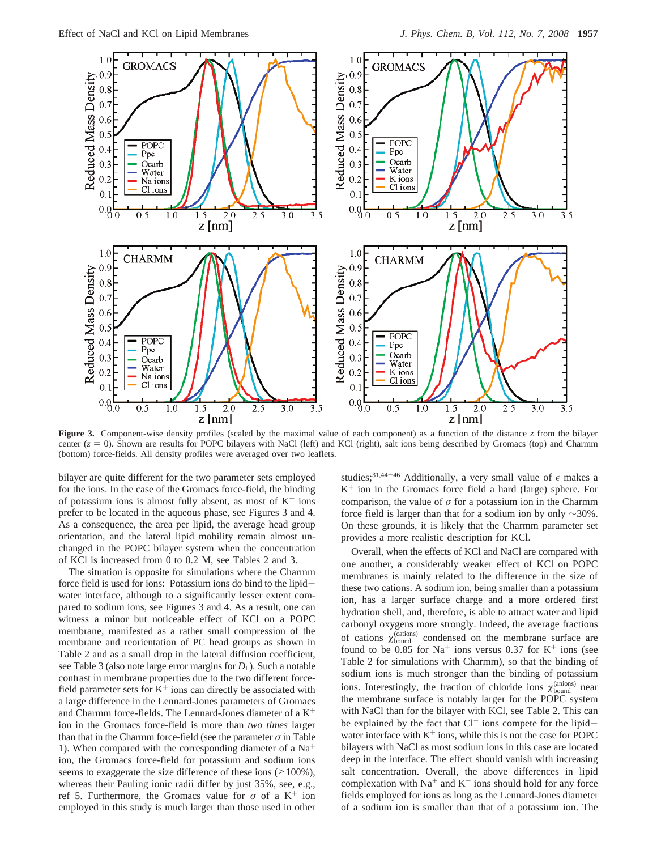

**Figure 3.** Component-wise density profiles (scaled by the maximal value of each component) as a function of the distance *z* from the bilayer center  $(z = 0)$ . Shown are results for POPC bilayers with NaCl (left) and KCl (right), salt ions being described by Gromacs (top) and Charmm (bottom) force-fields. All density profiles were averaged over two leaflets.

bilayer are quite different for the two parameter sets employed for the ions. In the case of the Gromacs force-field, the binding of potassium ions is almost fully absent, as most of  $K^+$  ions prefer to be located in the aqueous phase, see Figures 3 and 4. As a consequence, the area per lipid, the average head group orientation, and the lateral lipid mobility remain almost unchanged in the POPC bilayer system when the concentration of KCl is increased from 0 to 0.2 M, see Tables 2 and 3.

The situation is opposite for simulations where the Charmm force field is used for ions: Potassium ions do bind to the lipidwater interface, although to a significantly lesser extent compared to sodium ions, see Figures 3 and 4. As a result, one can witness a minor but noticeable effect of KCl on a POPC membrane, manifested as a rather small compression of the membrane and reorientation of PC head groups as shown in Table 2 and as a small drop in the lateral diffusion coefficient, see Table 3 (also note large error margins for  $D<sub>L</sub>$ ). Such a notable contrast in membrane properties due to the two different forcefield parameter sets for  $K^+$  ions can directly be associated with a large difference in the Lennard-Jones parameters of Gromacs and Charmm force-fields. The Lennard-Jones diameter of a K+ ion in the Gromacs force-field is more than *two times* larger than that in the Charmm force-field (see the parameter  $\sigma$  in Table 1). When compared with the corresponding diameter of a  $Na<sup>+</sup>$ ion, the Gromacs force-field for potassium and sodium ions seems to exaggerate the size difference of these ions ( $>100\%$ ), whereas their Pauling ionic radii differ by just 35%, see, e.g., ref 5. Furthermore, the Gromacs value for  $\sigma$  of a K<sup>+</sup> ion employed in this study is much larger than those used in other studies;<sup>31,44-46</sup> Additionally, a very small value of  $\epsilon$  makes a  $K^+$  ion in the Gromacs force field a hard (large) sphere. For comparison, the value of  $\sigma$  for a potassium ion in the Charmm force field is larger than that for a sodium ion by only ∼30%. On these grounds, it is likely that the Charmm parameter set provides a more realistic description for KCl.

Overall, when the effects of KCl and NaCl are compared with one another, a considerably weaker effect of KCl on POPC membranes is mainly related to the difference in the size of these two cations. A sodium ion, being smaller than a potassium ion, has a larger surface charge and a more ordered first hydration shell, and, therefore, is able to attract water and lipid carbonyl oxygens more strongly. Indeed, the average fractions of cations  $\chi_{\text{bound}}^{\text{(cations)}}$  condensed on the membrane surface are found to be  $0.85$  for Na<sup>+</sup> ions versus 0.37 for K<sup>+</sup> ions (see Table 2 for simulations with Charmm), so that the binding of sodium ions is much stronger than the binding of potassium ions. Interestingly, the fraction of chloride ions  $\chi_{\text{bound}}^{(\text{anions})}$  near the membrane surface is notably larger for the POPC system with NaCl than for the bilayer with KCl, see Table 2. This can be explained by the fact that  $Cl^-$  ions compete for the lipidwater interface with  $K^+$  ions, while this is not the case for POPC bilayers with NaCl as most sodium ions in this case are located deep in the interface. The effect should vanish with increasing salt concentration. Overall, the above differences in lipid complexation with  $Na^+$  and  $K^+$  ions should hold for any force fields employed for ions as long as the Lennard-Jones diameter of a sodium ion is smaller than that of a potassium ion. The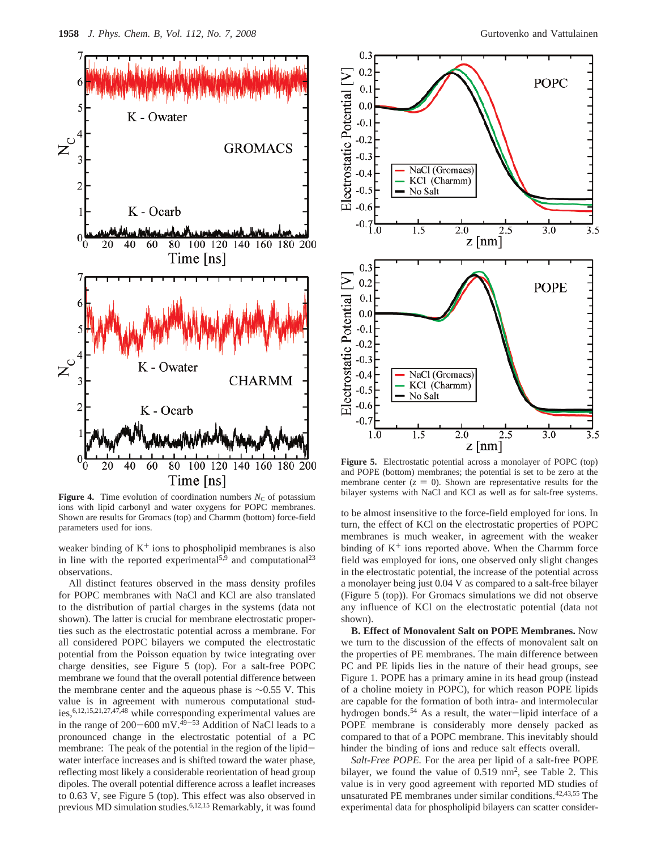

**Figure 4.** Time evolution of coordination numbers  $N_c$  of potassium ions with lipid carbonyl and water oxygens for POPC membranes. Shown are results for Gromacs (top) and Charmm (bottom) force-field parameters used for ions.

weaker binding of  $K^+$  ions to phospholipid membranes is also in line with the reported experimental<sup>5,9</sup> and computational<sup>23</sup> observations.

All distinct features observed in the mass density profiles for POPC membranes with NaCl and KCl are also translated to the distribution of partial charges in the systems (data not shown). The latter is crucial for membrane electrostatic properties such as the electrostatic potential across a membrane. For all considered POPC bilayers we computed the electrostatic potential from the Poisson equation by twice integrating over charge densities, see Figure 5 (top). For a salt-free POPC membrane we found that the overall potential difference between the membrane center and the aqueous phase is ∼0.55 V. This value is in agreement with numerous computational studies,6,12,15,21,27,47,48 while corresponding experimental values are in the range of  $200-600$  mV.<sup>49-53</sup> Addition of NaCl leads to a pronounced change in the electrostatic potential of a PC membrane: The peak of the potential in the region of the lipidwater interface increases and is shifted toward the water phase, reflecting most likely a considerable reorientation of head group dipoles. The overall potential difference across a leaflet increases to 0.63 V, see Figure 5 (top). This effect was also observed in previous MD simulation studies.6,12,15 Remarkably, it was found



 $0.3$  $0.2$ 

 $0.1$  $0.0$ 

 $-0.1$ 

 $-0.2$ 

 $-0.3$ 



Figure 5. Electrostatic potential across a monolayer of POPC (top) and POPE (bottom) membranes; the potential is set to be zero at the membrane center  $(z = 0)$ . Shown are representative results for the bilayer systems with NaCl and KCl as well as for salt-free systems.

to be almost insensitive to the force-field employed for ions. In turn, the effect of KCl on the electrostatic properties of POPC membranes is much weaker, in agreement with the weaker binding of  $K^+$  ions reported above. When the Charmm force field was employed for ions, one observed only slight changes in the electrostatic potential, the increase of the potential across a monolayer being just 0.04 V as compared to a salt-free bilayer (Figure 5 (top)). For Gromacs simulations we did not observe any influence of KCl on the electrostatic potential (data not shown).

**B. Effect of Monovalent Salt on POPE Membranes.** Now we turn to the discussion of the effects of monovalent salt on the properties of PE membranes. The main difference between PC and PE lipids lies in the nature of their head groups, see Figure 1. POPE has a primary amine in its head group (instead of a choline moiety in POPC), for which reason POPE lipids are capable for the formation of both intra- and intermolecular hydrogen bonds.<sup>54</sup> As a result, the water-lipid interface of a POPE membrane is considerably more densely packed as compared to that of a POPC membrane. This inevitably should hinder the binding of ions and reduce salt effects overall.

*Salt-Free POPE.* For the area per lipid of a salt-free POPE bilayer, we found the value of  $0.519 \text{ nm}^2$ , see Table 2. This value is in very good agreement with reported MD studies of unsaturated PE membranes under similar conditions.42,43,55 The experimental data for phospholipid bilayers can scatter consider-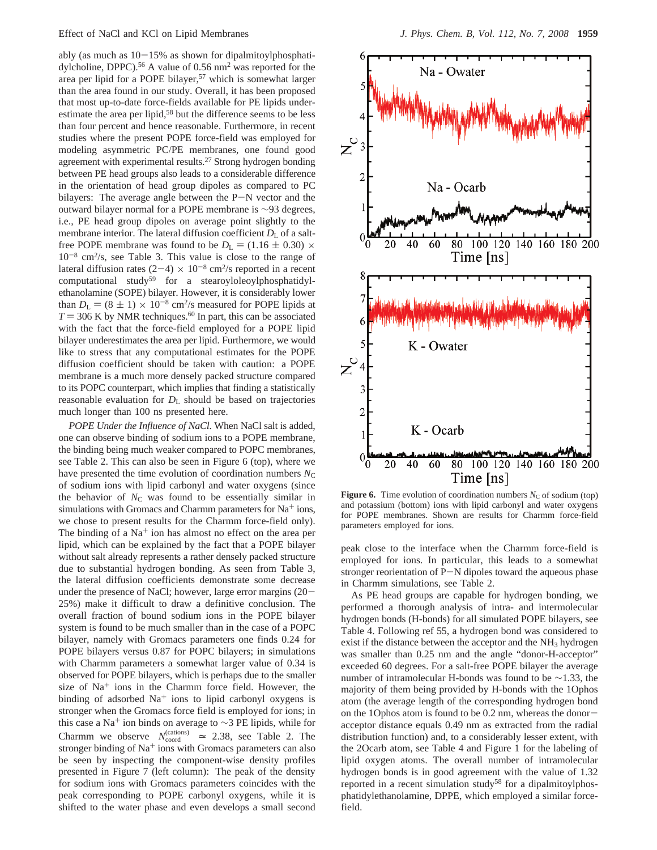ably (as much as  $10-15%$  as shown for dipalmitoylphosphatidylcholine, DPPC).<sup>56</sup> A value of  $0.56$  nm<sup>2</sup> was reported for the area per lipid for a POPE bilayer,57 which is somewhat larger than the area found in our study. Overall, it has been proposed that most up-to-date force-fields available for PE lipids underestimate the area per lipid,<sup>58</sup> but the difference seems to be less than four percent and hence reasonable. Furthermore, in recent studies where the present POPE force-field was employed for modeling asymmetric PC/PE membranes, one found good agreement with experimental results.27 Strong hydrogen bonding between PE head groups also leads to a considerable difference in the orientation of head group dipoles as compared to PC bilayers: The average angle between the P-N vector and the outward bilayer normal for a POPE membrane is ∼93 degrees, i.e., PE head group dipoles on average point slightly to the membrane interior. The lateral diffusion coefficient  $D_{L}$  of a saltfree POPE membrane was found to be  $D_{\rm L} = (1.16 \pm 0.30) \times$  $10^{-8}$  cm<sup>2</sup>/s, see Table 3. This value is close to the range of lateral diffusion rates (2-4)  $\times$  10<sup>-8</sup> cm<sup>2</sup>/s reported in a recent computational study<sup>59</sup> for a stearoyloleoylphosphatidylethanolamine (SOPE) bilayer. However, it is considerably lower than  $D_{\rm L} = (8 \pm 1) \times 10^{-8}$  cm<sup>2</sup>/s measured for POPE lipids at  $T = 306$  K by NMR techniques.<sup>60</sup> In part, this can be associated with the fact that the force-field employed for a POPE lipid bilayer underestimates the area per lipid. Furthermore, we would like to stress that any computational estimates for the POPE diffusion coefficient should be taken with caution: a POPE membrane is a much more densely packed structure compared to its POPC counterpart, which implies that finding a statistically reasonable evaluation for *D*<sup>L</sup> should be based on trajectories much longer than 100 ns presented here.

*POPE Under the Influence of NaCl.* When NaCl salt is added, one can observe binding of sodium ions to a POPE membrane, the binding being much weaker compared to POPC membranes, see Table 2. This can also be seen in Figure 6 (top), where we have presented the time evolution of coordination numbers  $N<sub>C</sub>$ of sodium ions with lipid carbonyl and water oxygens (since the behavior of  $N<sub>C</sub>$  was found to be essentially similar in simulations with Gromacs and Charmm parameters for  $Na<sup>+</sup> ions$ , we chose to present results for the Charmm force-field only). The binding of a  $Na<sup>+</sup>$  ion has almost no effect on the area per lipid, which can be explained by the fact that a POPE bilayer without salt already represents a rather densely packed structure due to substantial hydrogen bonding. As seen from Table 3, the lateral diffusion coefficients demonstrate some decrease under the presence of NaCl; however, large error margins (20- 25%) make it difficult to draw a definitive conclusion. The overall fraction of bound sodium ions in the POPE bilayer system is found to be much smaller than in the case of a POPC bilayer, namely with Gromacs parameters one finds 0.24 for POPE bilayers versus 0.87 for POPC bilayers; in simulations with Charmm parameters a somewhat larger value of 0.34 is observed for POPE bilayers, which is perhaps due to the smaller size of  $Na<sup>+</sup>$  ions in the Charmm force field. However, the binding of adsorbed  $Na<sup>+</sup>$  ions to lipid carbonyl oxygens is stronger when the Gromacs force field is employed for ions; in this case a Na<sup>+</sup> ion binds on average to  $\sim$ 3 PE lipids, while for Charmm we observe  $\langle N_{\text{coord}}^{(\text{cations})} \rangle$   $\approx$  2.38, see Table 2. The stronger binding of  $Na<sup>+</sup>$  ions with Gromacs parameters can also be seen by inspecting the component-wise density profiles presented in Figure 7 (left column): The peak of the density for sodium ions with Gromacs parameters coincides with the peak corresponding to POPE carbonyl oxygens, while it is shifted to the water phase and even develops a small second



**Figure 6.** Time evolution of coordination numbers  $N_c$  of sodium (top) and potassium (bottom) ions with lipid carbonyl and water oxygens for POPE membranes. Shown are results for Charmm force-field parameters employed for ions.

peak close to the interface when the Charmm force-field is employed for ions. In particular, this leads to a somewhat stronger reorientation of P-N dipoles toward the aqueous phase in Charmm simulations, see Table 2.

As PE head groups are capable for hydrogen bonding, we performed a thorough analysis of intra- and intermolecular hydrogen bonds (H-bonds) for all simulated POPE bilayers, see Table 4. Following ref 55, a hydrogen bond was considered to exist if the distance between the acceptor and the NH<sub>3</sub> hydrogen was smaller than 0.25 nm and the angle "donor-H-acceptor" exceeded 60 degrees. For a salt-free POPE bilayer the average number of intramolecular H-bonds was found to be ∼1.33, the majority of them being provided by H-bonds with the 1Ophos atom (the average length of the corresponding hydrogen bond on the 1Ophos atom is found to be 0.2 nm, whereas the donoracceptor distance equals 0.49 nm as extracted from the radial distribution function) and, to a considerably lesser extent, with the 2Ocarb atom, see Table 4 and Figure 1 for the labeling of lipid oxygen atoms. The overall number of intramolecular hydrogen bonds is in good agreement with the value of 1.32 reported in a recent simulation study<sup>58</sup> for a dipalmitoylphosphatidylethanolamine, DPPE, which employed a similar forcefield.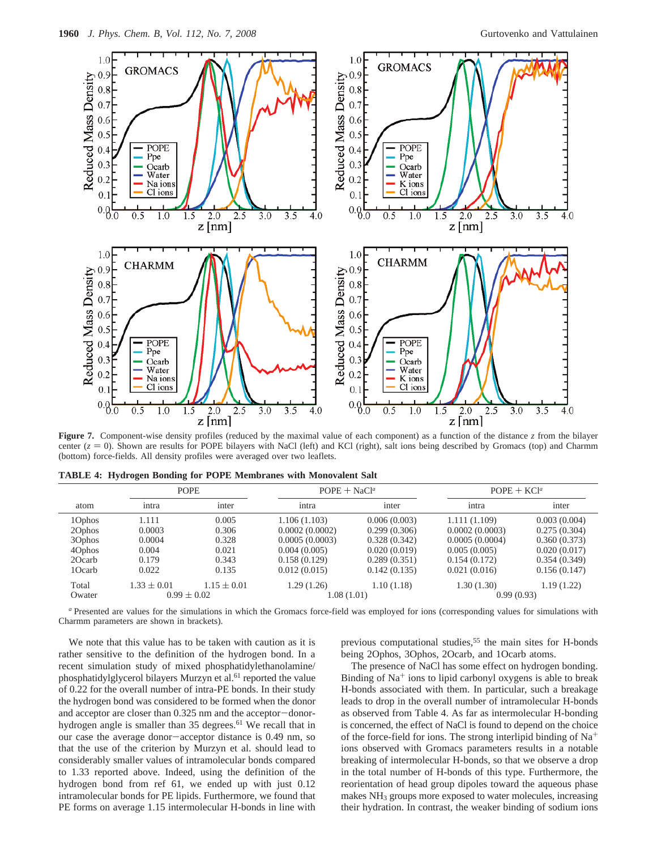

**Figure 7.** Component-wise density profiles (reduced by the maximal value of each component) as a function of the distance *z* from the bilayer center  $(z = 0)$ . Shown are results for POPE bilayers with NaCl (left) and KCl (right), salt ions being described by Gromacs (top) and Charmm (bottom) force-fields. All density profiles were averaged over two leaflets.

|        | <b>POPE</b>     |                 | POPE + NaCl <sup>a</sup> |              | $POPE + KCla$  |              |
|--------|-----------------|-----------------|--------------------------|--------------|----------------|--------------|
| atom   | intra           | inter           | intra                    | inter        | intra          | inter        |
| 1Ophos | 1.111           | 0.005           | 1.106(1.103)             | 0.006(0.003) | 1.111(1.109)   | 0.003(0.004) |
| 20phos | 0.0003          | 0.306           | 0.0002(0.0002)           | 0.299(0.306) | 0.0002(0.0003) | 0.275(0.304) |
| 3Ophos | 0.0004          | 0.328           | 0.0005(0.0003)           | 0.328(0.342) | 0.0005(0.0004) | 0.360(0.373) |
| 4Ophos | 0.004           | 0.021           | 0.004(0.005)             | 0.020(0.019) | 0.005(0.005)   | 0.020(0.017) |
| 20carb | 0.179           | 0.343           | 0.158(0.129)             | 0.289(0.351) | 0.154(0.172)   | 0.354(0.349) |
| 10carb | 0.022           | 0.135           | 0.012(0.015)             | 0.142(0.135) | 0.021(0.016)   | 0.156(0.147) |
| Total  | $1.33 \pm 0.01$ | $1.15 \pm 0.01$ | 1.29(1.26)               | 1.10(1.18)   | 1.30(1.30)     | 1.19(1.22)   |
| Owater | $0.99 \pm 0.02$ |                 | 1.08(1.01)               |              | 0.99(0.93)     |              |

**TABLE 4: Hydrogen Bonding for POPE Membranes with Monovalent Salt**

*<sup>a</sup>* Presented are values for the simulations in which the Gromacs force-field was employed for ions (corresponding values for simulations with Charmm parameters are shown in brackets).

We note that this value has to be taken with caution as it is rather sensitive to the definition of the hydrogen bond. In a recent simulation study of mixed phosphatidylethanolamine/ phosphatidylglycerol bilayers Murzyn et al.<sup>61</sup> reported the value of 0.22 for the overall number of intra-PE bonds. In their study the hydrogen bond was considered to be formed when the donor and acceptor are closer than 0.325 nm and the acceptor-donorhydrogen angle is smaller than 35 degrees.<sup>61</sup> We recall that in our case the average donor-acceptor distance is 0.49 nm, so that the use of the criterion by Murzyn et al. should lead to considerably smaller values of intramolecular bonds compared to 1.33 reported above. Indeed, using the definition of the hydrogen bond from ref 61, we ended up with just 0.12 intramolecular bonds for PE lipids. Furthermore, we found that PE forms on average 1.15 intermolecular H-bonds in line with previous computational studies,<sup>55</sup> the main sites for H-bonds being 2Ophos, 3Ophos, 2Ocarb, and 1Ocarb atoms.

The presence of NaCl has some effect on hydrogen bonding. Binding of  $Na<sup>+</sup>$  ions to lipid carbonyl oxygens is able to break H-bonds associated with them. In particular, such a breakage leads to drop in the overall number of intramolecular H-bonds as observed from Table 4. As far as intermolecular H-bonding is concerned, the effect of NaCl is found to depend on the choice of the force-field for ions. The strong interlipid binding of  $Na<sup>+</sup>$ ions observed with Gromacs parameters results in a notable breaking of intermolecular H-bonds, so that we observe a drop in the total number of H-bonds of this type. Furthermore, the reorientation of head group dipoles toward the aqueous phase makes NH<sub>3</sub> groups more exposed to water molecules, increasing their hydration. In contrast, the weaker binding of sodium ions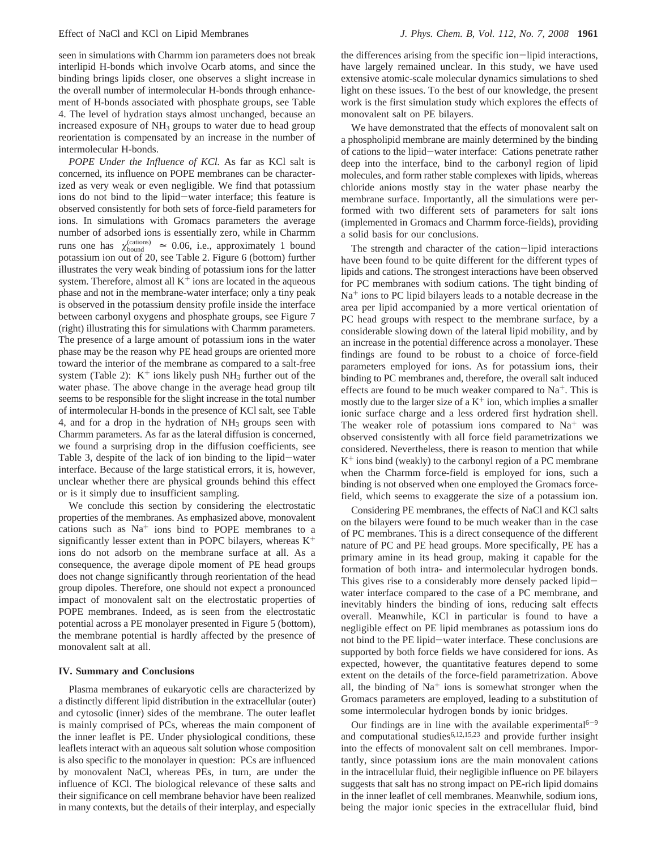seen in simulations with Charmm ion parameters does not break interlipid H-bonds which involve Ocarb atoms, and since the binding brings lipids closer, one observes a slight increase in the overall number of intermolecular H-bonds through enhancement of H-bonds associated with phosphate groups, see Table 4. The level of hydration stays almost unchanged, because an increased exposure of  $NH<sub>3</sub>$  groups to water due to head group reorientation is compensated by an increase in the number of intermolecular H-bonds.

*POPE Under the Influence of KCl.* As far as KCl salt is concerned, its influence on POPE membranes can be characterized as very weak or even negligible. We find that potassium ions do not bind to the lipid-water interface; this feature is observed consistently for both sets of force-field parameters for ions. In simulations with Gromacs parameters the average number of adsorbed ions is essentially zero, while in Charmm runs one has  $\langle \chi_{\text{bound}}^{(\text{cations})} \rangle \approx 0.06$ , i.e., approximately 1 bound potassium ion out of 20, see Table 2. Figure 6 (bottom) further illustrates the very weak binding of potassium ions for the latter system. Therefore, almost all  $K<sup>+</sup>$  ions are located in the aqueous phase and not in the membrane-water interface; only a tiny peak is observed in the potassium density profile inside the interface between carbonyl oxygens and phosphate groups, see Figure 7 (right) illustrating this for simulations with Charmm parameters. The presence of a large amount of potassium ions in the water phase may be the reason why PE head groups are oriented more toward the interior of the membrane as compared to a salt-free system (Table 2):  $K^+$  ions likely push NH<sub>3</sub> further out of the water phase. The above change in the average head group tilt seems to be responsible for the slight increase in the total number of intermolecular H-bonds in the presence of KCl salt, see Table 4, and for a drop in the hydration of NH<sub>3</sub> groups seen with Charmm parameters. As far as the lateral diffusion is concerned, we found a surprising drop in the diffusion coefficients, see Table 3, despite of the lack of ion binding to the lipid-water interface. Because of the large statistical errors, it is, however, unclear whether there are physical grounds behind this effect or is it simply due to insufficient sampling.

We conclude this section by considering the electrostatic properties of the membranes. As emphasized above, monovalent cations such as  $Na<sup>+</sup>$  ions bind to POPE membranes to a significantly lesser extent than in POPC bilayers, whereas  $K^+$ ions do not adsorb on the membrane surface at all. As a consequence, the average dipole moment of PE head groups does not change significantly through reorientation of the head group dipoles. Therefore, one should not expect a pronounced impact of monovalent salt on the electrostatic properties of POPE membranes. Indeed, as is seen from the electrostatic potential across a PE monolayer presented in Figure 5 (bottom), the membrane potential is hardly affected by the presence of monovalent salt at all.

## **IV. Summary and Conclusions**

Plasma membranes of eukaryotic cells are characterized by a distinctly different lipid distribution in the extracellular (outer) and cytosolic (inner) sides of the membrane. The outer leaflet is mainly comprised of PCs, whereas the main component of the inner leaflet is PE. Under physiological conditions, these leaflets interact with an aqueous salt solution whose composition is also specific to the monolayer in question: PCs are influenced by monovalent NaCl, whereas PEs, in turn, are under the influence of KCl. The biological relevance of these salts and their significance on cell membrane behavior have been realized in many contexts, but the details of their interplay, and especially

the differences arising from the specific ion-lipid interactions, have largely remained unclear. In this study, we have used extensive atomic-scale molecular dynamics simulations to shed light on these issues. To the best of our knowledge, the present work is the first simulation study which explores the effects of monovalent salt on PE bilayers.

We have demonstrated that the effects of monovalent salt on a phospholipid membrane are mainly determined by the binding of cations to the lipid-water interface: Cations penetrate rather deep into the interface, bind to the carbonyl region of lipid molecules, and form rather stable complexes with lipids, whereas chloride anions mostly stay in the water phase nearby the membrane surface. Importantly, all the simulations were performed with two different sets of parameters for salt ions (implemented in Gromacs and Charmm force-fields), providing a solid basis for our conclusions.

The strength and character of the cation-lipid interactions have been found to be quite different for the different types of lipids and cations. The strongest interactions have been observed for PC membranes with sodium cations. The tight binding of Na<sup>+</sup> ions to PC lipid bilayers leads to a notable decrease in the area per lipid accompanied by a more vertical orientation of PC head groups with respect to the membrane surface, by a considerable slowing down of the lateral lipid mobility, and by an increase in the potential difference across a monolayer. These findings are found to be robust to a choice of force-field parameters employed for ions. As for potassium ions, their binding to PC membranes and, therefore, the overall salt induced effects are found to be much weaker compared to  $Na<sup>+</sup>$ . This is mostly due to the larger size of a  $K^+$  ion, which implies a smaller ionic surface charge and a less ordered first hydration shell. The weaker role of potassium ions compared to  $Na<sup>+</sup>$  was observed consistently with all force field parametrizations we considered. Nevertheless, there is reason to mention that while  $K^+$  ions bind (weakly) to the carbonyl region of a PC membrane when the Charmm force-field is employed for ions, such a binding is not observed when one employed the Gromacs forcefield, which seems to exaggerate the size of a potassium ion.

Considering PE membranes, the effects of NaCl and KCl salts on the bilayers were found to be much weaker than in the case of PC membranes. This is a direct consequence of the different nature of PC and PE head groups. More specifically, PE has a primary amine in its head group, making it capable for the formation of both intra- and intermolecular hydrogen bonds. This gives rise to a considerably more densely packed lipidwater interface compared to the case of a PC membrane, and inevitably hinders the binding of ions, reducing salt effects overall. Meanwhile, KCl in particular is found to have a negligible effect on PE lipid membranes as potassium ions do not bind to the PE lipid-water interface. These conclusions are supported by both force fields we have considered for ions. As expected, however, the quantitative features depend to some extent on the details of the force-field parametrization. Above all, the binding of  $Na<sup>+</sup>$  ions is somewhat stronger when the Gromacs parameters are employed, leading to a substitution of some intermolecular hydrogen bonds by ionic bridges.

Our findings are in line with the available experimental  $6-9$ and computational studies $6,12,15,23$  and provide further insight into the effects of monovalent salt on cell membranes. Importantly, since potassium ions are the main monovalent cations in the intracellular fluid, their negligible influence on PE bilayers suggests that salt has no strong impact on PE-rich lipid domains in the inner leaflet of cell membranes. Meanwhile, sodium ions, being the major ionic species in the extracellular fluid, bind